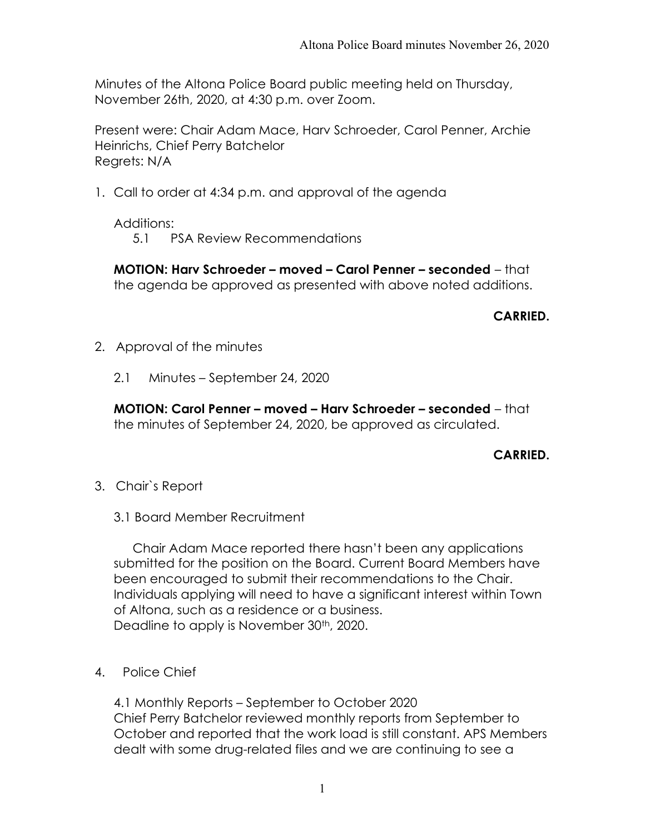Minutes of the Altona Police Board public meeting held on Thursday, November 26th, 2020, at 4:30 p.m. over Zoom.

Present were: Chair Adam Mace, Harv Schroeder, Carol Penner, Archie Heinrichs, Chief Perry Batchelor Regrets: N/A

1. Call to order at 4:34 p.m. and approval of the agenda

Additions:

5.1 PSA Review Recommendations

MOTION: Harv Schroeder – moved – Carol Penner – seconded – that the agenda be approved as presented with above noted additions.

## CARRIED.

- 2. Approval of the minutes
	- 2.1 Minutes September 24, 2020

MOTION: Carol Penner – moved – Harv Schroeder – seconded – that the minutes of September 24, 2020, be approved as circulated.

## CARRIED.

- 3. Chair`s Report
	- 3.1 Board Member Recruitment

 Chair Adam Mace reported there hasn't been any applications submitted for the position on the Board. Current Board Members have been encouraged to submit their recommendations to the Chair. Individuals applying will need to have a significant interest within Town of Altona, such as a residence or a business. Deadline to apply is November 30<sup>th</sup>, 2020.

4. Police Chief

4.1 Monthly Reports – September to October 2020 Chief Perry Batchelor reviewed monthly reports from September to October and reported that the work load is still constant. APS Members dealt with some drug-related files and we are continuing to see a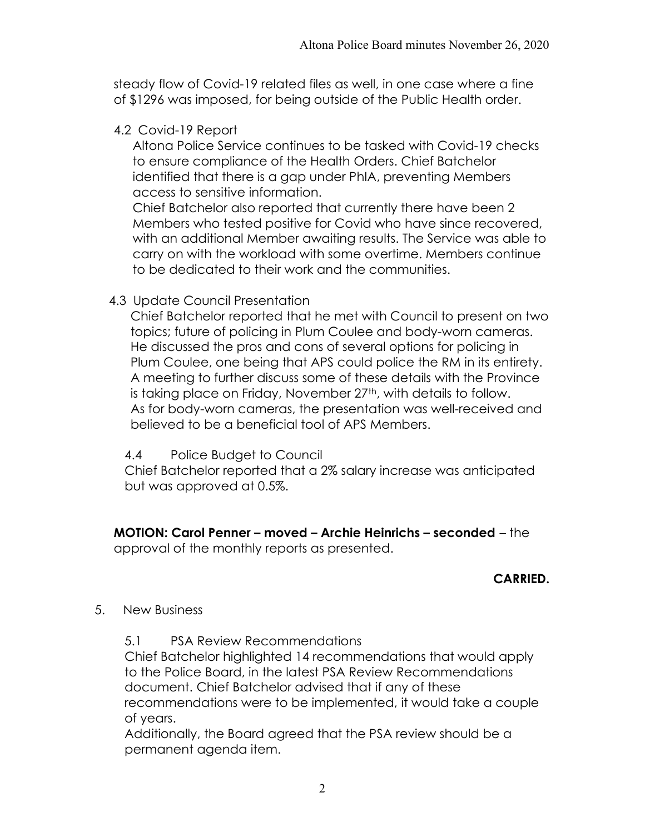steady flow of Covid-19 related files as well, in one case where a fine of \$1296 was imposed, for being outside of the Public Health order.

4.2 Covid-19 Report

Altona Police Service continues to be tasked with Covid-19 checks to ensure compliance of the Health Orders. Chief Batchelor identified that there is a gap under PhIA, preventing Members access to sensitive information.

Chief Batchelor also reported that currently there have been 2 Members who tested positive for Covid who have since recovered, with an additional Member awaiting results. The Service was able to carry on with the workload with some overtime. Members continue to be dedicated to their work and the communities.

4.3 Update Council Presentation

Chief Batchelor reported that he met with Council to present on two topics; future of policing in Plum Coulee and body-worn cameras. He discussed the pros and cons of several options for policing in Plum Coulee, one being that APS could police the RM in its entirety. A meeting to further discuss some of these details with the Province is taking place on Friday, November 27<sup>th</sup>, with details to follow. As for body-worn cameras, the presentation was well-received and believed to be a beneficial tool of APS Members.

4.4 Police Budget to Council

Chief Batchelor reported that a 2% salary increase was anticipated but was approved at 0.5%.

MOTION: Carol Penner – moved – Archie Heinrichs – seconded – the approval of the monthly reports as presented.

## CARRIED.

- 5. New Business
	- 5.1 PSA Review Recommendations

Chief Batchelor highlighted 14 recommendations that would apply to the Police Board, in the latest PSA Review Recommendations document. Chief Batchelor advised that if any of these recommendations were to be implemented, it would take a couple of years.

Additionally, the Board agreed that the PSA review should be a permanent agenda item.